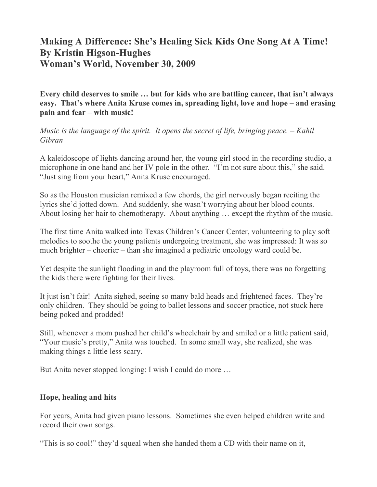## **Making A Difference: She's Healing Sick Kids One Song At A Time! By Kristin Higson-Hughes Woman's World, November 30, 2009**

**Every child deserves to smile … but for kids who are battling cancer, that isn't always easy. That's where Anita Kruse comes in, spreading light, love and hope – and erasing pain and fear – with music!**

*Music is the language of the spirit. It opens the secret of life, bringing peace. – Kahil Gibran*

A kaleidoscope of lights dancing around her, the young girl stood in the recording studio, a microphone in one hand and her IV pole in the other. "I'm not sure about this," she said. "Just sing from your heart," Anita Kruse encouraged.

So as the Houston musician remixed a few chords, the girl nervously began reciting the lyrics she'd jotted down. And suddenly, she wasn't worrying about her blood counts. About losing her hair to chemotherapy. About anything … except the rhythm of the music.

The first time Anita walked into Texas Children's Cancer Center, volunteering to play soft melodies to soothe the young patients undergoing treatment, she was impressed: It was so much brighter – cheerier – than she imagined a pediatric oncology ward could be.

Yet despite the sunlight flooding in and the playroom full of toys, there was no forgetting the kids there were fighting for their lives.

It just isn't fair! Anita sighed, seeing so many bald heads and frightened faces. They're only children. They should be going to ballet lessons and soccer practice, not stuck here being poked and prodded!

Still, whenever a mom pushed her child's wheelchair by and smiled or a little patient said, "Your music's pretty," Anita was touched. In some small way, she realized, she was making things a little less scary.

But Anita never stopped longing: I wish I could do more …

## **Hope, healing and hits**

For years, Anita had given piano lessons. Sometimes she even helped children write and record their own songs.

"This is so cool!" they'd squeal when she handed them a CD with their name on it,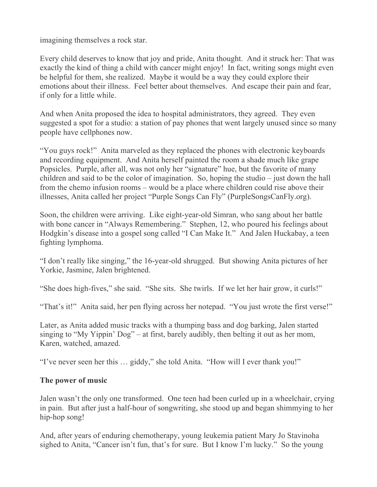imagining themselves a rock star.

Every child deserves to know that joy and pride, Anita thought. And it struck her: That was exactly the kind of thing a child with cancer might enjoy! In fact, writing songs might even be helpful for them, she realized. Maybe it would be a way they could explore their emotions about their illness. Feel better about themselves. And escape their pain and fear, if only for a little while.

And when Anita proposed the idea to hospital administrators, they agreed. They even suggested a spot for a studio: a station of pay phones that went largely unused since so many people have cellphones now.

"You guys rock!" Anita marveled as they replaced the phones with electronic keyboards and recording equipment. And Anita herself painted the room a shade much like grape Popsicles. Purple, after all, was not only her "signature" hue, but the favorite of many children and said to be the color of imagination. So, hoping the studio – just down the hall from the chemo infusion rooms – would be a place where children could rise above their illnesses, Anita called her project "Purple Songs Can Fly" (PurpleSongsCanFly.org).

Soon, the children were arriving. Like eight-year-old Simran, who sang about her battle with bone cancer in "Always Remembering." Stephen, 12, who poured his feelings about Hodgkin's disease into a gospel song called "I Can Make It." And Jalen Huckabay, a teen fighting lymphoma.

"I don't really like singing," the 16-year-old shrugged. But showing Anita pictures of her Yorkie, Jasmine, Jalen brightened.

"She does high-fives," she said. "She sits. She twirls. If we let her hair grow, it curls!"

"That's it!" Anita said, her pen flying across her notepad. "You just wrote the first verse!"

Later, as Anita added music tracks with a thumping bass and dog barking, Jalen started singing to "My Yippin' Dog" – at first, barely audibly, then belting it out as her mom, Karen, watched, amazed.

"I've never seen her this … giddy," she told Anita. "How will I ever thank you!"

## **The power of music**

Jalen wasn't the only one transformed. One teen had been curled up in a wheelchair, crying in pain. But after just a half-hour of songwriting, she stood up and began shimmying to her hip-hop song!

And, after years of enduring chemotherapy, young leukemia patient Mary Jo Stavinoha sighed to Anita, "Cancer isn't fun, that's for sure. But I know I'm lucky." So the young